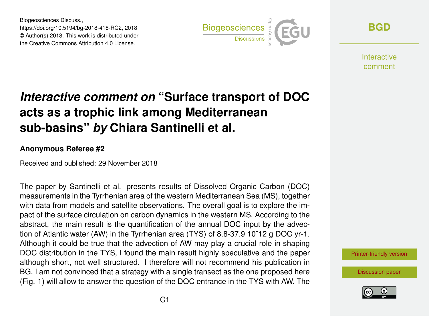Biogeosciences Discuss., https://doi.org/10.5194/bg-2018-418-RC2, 2018 © Author(s) 2018. This work is distributed under the Creative Commons Attribution 4.0 License.



**[BGD](https://www.biogeosciences-discuss.net/)**

**Interactive** comment

## *Interactive comment on* **"Surface transport of DOC acts as a trophic link among Mediterranean sub-basins"** *by* **Chiara Santinelli et al.**

## **Anonymous Referee #2**

Received and published: 29 November 2018

The paper by Santinelli et al. presents results of Dissolved Organic Carbon (DOC) measurements in the Tyrrhenian area of the western Mediterranean Sea (MS), together with data from models and satellite observations. The overall goal is to explore the impact of the surface circulation on carbon dynamics in the western MS. According to the abstract, the main result is the quantification of the annual DOC input by the advection of Atlantic water (AW) in the Tyrrhenian area (TYS) of 8.8-37.9 10ˆ12 g DOC yr-1. Although it could be true that the advection of AW may play a crucial role in shaping DOC distribution in the TYS, I found the main result highly speculative and the paper although short, not well structured. I therefore will not recommend his publication in BG. I am not convinced that a strategy with a single transect as the one proposed here (Fig. 1) will allow to answer the question of the DOC entrance in the TYS with AW. The

[Printer-friendly version](https://www.biogeosciences-discuss.net/bg-2018-418/bg-2018-418-RC2-print.pdf)

[Discussion paper](https://www.biogeosciences-discuss.net/bg-2018-418)

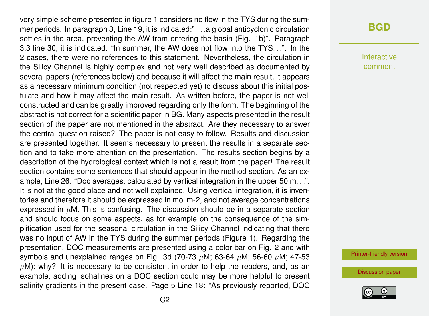very simple scheme presented in figure 1 considers no flow in the TYS during the summer periods. In paragraph 3, Line 19, it is indicated:" . . .a global anticyclonic circulation settles in the area, preventing the AW from entering the basin (Fig. 1b)". Paragraph 3.3 line 30, it is indicated: "In summer, the AW does not flow into the TYS. . .". In the 2 cases, there were no references to this statement. Nevertheless, the circulation in the Silicy Channel is highly complex and not very well described as documented by several papers (references below) and because it will affect the main result, it appears as a necessary minimum condition (not respected yet) to discuss about this initial postulate and how it may affect the main result. As written before, the paper is not well constructed and can be greatly improved regarding only the form. The beginning of the abstract is not correct for a scientific paper in BG. Many aspects presented in the result section of the paper are not mentioned in the abstract. Are they necessary to answer the central question raised? The paper is not easy to follow. Results and discussion are presented together. It seems necessary to present the results in a separate section and to take more attention on the presentation. The results section begins by a description of the hydrological context which is not a result from the paper! The result section contains some sentences that should appear in the method section. As an example, Line 26: "Doc averages, calculated by vertical integration in the upper 50 m. . .". It is not at the good place and not well explained. Using vertical integration, it is inventories and therefore it should be expressed in mol m-2, and not average concentrations expressed in  $\mu$ M. This is confusing. The discussion should be in a separate section and should focus on some aspects, as for example on the consequence of the simplification used for the seasonal circulation in the Silicy Channel indicating that there was no input of AW in the TYS during the summer periods (Figure 1). Regarding the presentation, DOC measurements are presented using a color bar on Fig. 2 and with symbols and unexplained ranges on Fig. 3d (70-73  $\mu$ M; 63-64  $\mu$ M; 56-60  $\mu$ M; 47-53  $\mu$ M): why? It is necessary to be consistent in order to help the readers, and, as an example, adding isohalines on a DOC section could may be more helpful to present salinity gradients in the present case. Page 5 Line 18: "As previously reported, DOC

## **[BGD](https://www.biogeosciences-discuss.net/)**

Interactive comment

[Printer-friendly version](https://www.biogeosciences-discuss.net/bg-2018-418/bg-2018-418-RC2-print.pdf)

[Discussion paper](https://www.biogeosciences-discuss.net/bg-2018-418)